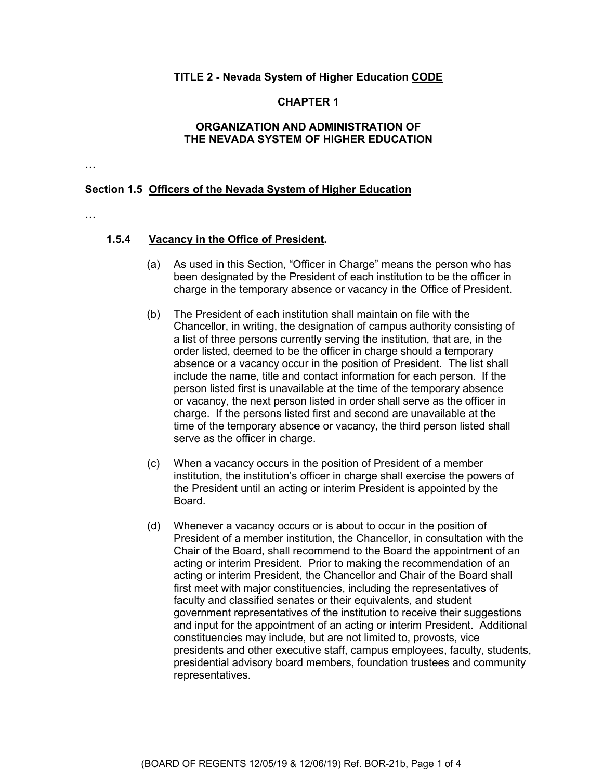### **TITLE 2 - Nevada System of Higher Education CODE**

### **CHAPTER 1**

## **ORGANIZATION AND ADMINISTRATION OF THE NEVADA SYSTEM OF HIGHER EDUCATION**

…

#### **Section 1.5 Officers of the Nevada System of Higher Education**

…

## **1.5.4 Vacancy in the Office of President.**

- (a) As used in this Section, "Officer in Charge" means the person who has been designated by the President of each institution to be the officer in charge in the temporary absence or vacancy in the Office of President.
- (b) The President of each institution shall maintain on file with the Chancellor, in writing, the designation of campus authority consisting of a list of three persons currently serving the institution, that are, in the order listed, deemed to be the officer in charge should a temporary absence or a vacancy occur in the position of President. The list shall include the name, title and contact information for each person. If the person listed first is unavailable at the time of the temporary absence or vacancy, the next person listed in order shall serve as the officer in charge. If the persons listed first and second are unavailable at the time of the temporary absence or vacancy, the third person listed shall serve as the officer in charge.
- (c) When a vacancy occurs in the position of President of a member institution, the institution's officer in charge shall exercise the powers of the President until an acting or interim President is appointed by the Board.
- (d) Whenever a vacancy occurs or is about to occur in the position of President of a member institution, the Chancellor, in consultation with the Chair of the Board, shall recommend to the Board the appointment of an acting or interim President. Prior to making the recommendation of an acting or interim President, the Chancellor and Chair of the Board shall first meet with major constituencies, including the representatives of faculty and classified senates or their equivalents, and student government representatives of the institution to receive their suggestions and input for the appointment of an acting or interim President. Additional constituencies may include, but are not limited to, provosts, vice presidents and other executive staff, campus employees, faculty, students, presidential advisory board members, foundation trustees and community representatives.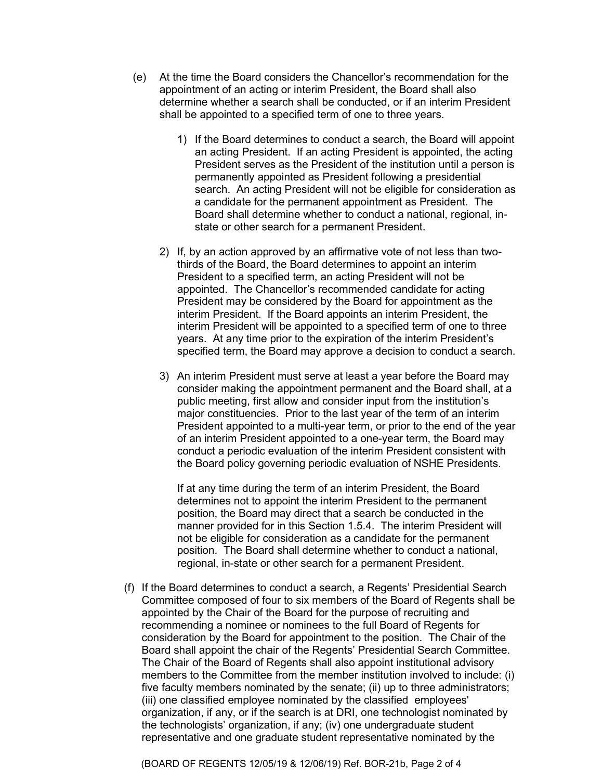- (e) At the time the Board considers the Chancellor's recommendation for the appointment of an acting or interim President, the Board shall also determine whether a search shall be conducted, or if an interim President shall be appointed to a specified term of one to three years.
	- 1) If the Board determines to conduct a search, the Board will appoint an acting President. If an acting President is appointed, the acting President serves as the President of the institution until a person is permanently appointed as President following a presidential search. An acting President will not be eligible for consideration as a candidate for the permanent appointment as President. The Board shall determine whether to conduct a national, regional, instate or other search for a permanent President.
	- 2) If, by an action approved by an affirmative vote of not less than twothirds of the Board, the Board determines to appoint an interim President to a specified term, an acting President will not be appointed. The Chancellor's recommended candidate for acting President may be considered by the Board for appointment as the interim President. If the Board appoints an interim President, the interim President will be appointed to a specified term of one to three years. At any time prior to the expiration of the interim President's specified term, the Board may approve a decision to conduct a search.
	- 3) An interim President must serve at least a year before the Board may consider making the appointment permanent and the Board shall, at a public meeting, first allow and consider input from the institution's major constituencies. Prior to the last year of the term of an interim President appointed to a multi-year term, or prior to the end of the year of an interim President appointed to a one-year term, the Board may conduct a periodic evaluation of the interim President consistent with the Board policy governing periodic evaluation of NSHE Presidents.

If at any time during the term of an interim President, the Board determines not to appoint the interim President to the permanent position, the Board may direct that a search be conducted in the manner provided for in this Section 1.5.4. The interim President will not be eligible for consideration as a candidate for the permanent position. The Board shall determine whether to conduct a national, regional, in-state or other search for a permanent President.

(f) If the Board determines to conduct a search, a Regents' Presidential Search Committee composed of four to six members of the Board of Regents shall be appointed by the Chair of the Board for the purpose of recruiting and recommending a nominee or nominees to the full Board of Regents for consideration by the Board for appointment to the position. The Chair of the Board shall appoint the chair of the Regents' Presidential Search Committee. The Chair of the Board of Regents shall also appoint institutional advisory members to the Committee from the member institution involved to include: (i) five faculty members nominated by the senate; (ii) up to three administrators; (iii) one classified employee nominated by the classified employees' organization, if any, or if the search is at DRI, one technologist nominated by the technologists' organization, if any; (iv) one undergraduate student representative and one graduate student representative nominated by the

(BOARD OF REGENTS 12/05/19 & 12/06/19) Ref. BOR-21b, Page 2 of 4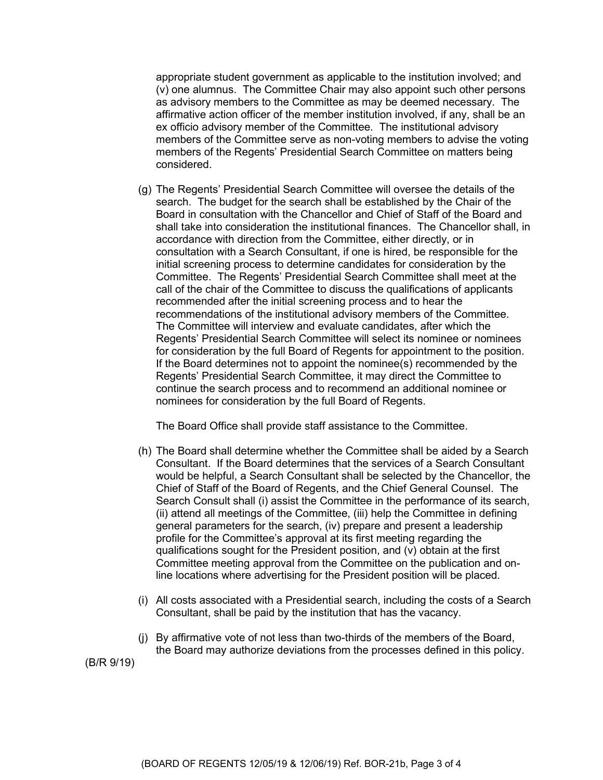appropriate student government as applicable to the institution involved; and (v) one alumnus. The Committee Chair may also appoint such other persons as advisory members to the Committee as may be deemed necessary. The affirmative action officer of the member institution involved, if any, shall be an ex officio advisory member of the Committee. The institutional advisory members of the Committee serve as non-voting members to advise the voting members of the Regents' Presidential Search Committee on matters being considered.

(g) The Regents' Presidential Search Committee will oversee the details of the search. The budget for the search shall be established by the Chair of the Board in consultation with the Chancellor and Chief of Staff of the Board and shall take into consideration the institutional finances. The Chancellor shall, in accordance with direction from the Committee, either directly, or in consultation with a Search Consultant, if one is hired, be responsible for the initial screening process to determine candidates for consideration by the Committee. The Regents' Presidential Search Committee shall meet at the call of the chair of the Committee to discuss the qualifications of applicants recommended after the initial screening process and to hear the recommendations of the institutional advisory members of the Committee. The Committee will interview and evaluate candidates, after which the Regents' Presidential Search Committee will select its nominee or nominees for consideration by the full Board of Regents for appointment to the position. If the Board determines not to appoint the nominee(s) recommended by the Regents' Presidential Search Committee, it may direct the Committee to continue the search process and to recommend an additional nominee or nominees for consideration by the full Board of Regents.

The Board Office shall provide staff assistance to the Committee.

- (h) The Board shall determine whether the Committee shall be aided by a Search Consultant. If the Board determines that the services of a Search Consultant would be helpful, a Search Consultant shall be selected by the Chancellor, the Chief of Staff of the Board of Regents, and the Chief General Counsel. The Search Consult shall (i) assist the Committee in the performance of its search, (ii) attend all meetings of the Committee, (iii) help the Committee in defining general parameters for the search, (iv) prepare and present a leadership profile for the Committee's approval at its first meeting regarding the qualifications sought for the President position, and (v) obtain at the first Committee meeting approval from the Committee on the publication and online locations where advertising for the President position will be placed.
- (i) All costs associated with a Presidential search, including the costs of a Search Consultant, shall be paid by the institution that has the vacancy.
- (j) By affirmative vote of not less than two-thirds of the members of the Board, the Board may authorize deviations from the processes defined in this policy.

(B/R 9/19)